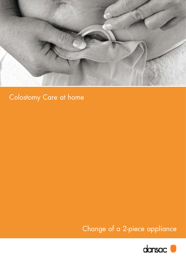

# Colostomy Care at home

Change of a 2-piece appliance

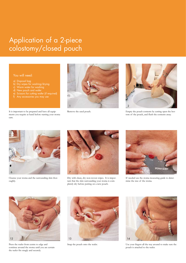# Application of a 2-piece colostomy/closed pouch

#### You will need:

a) Disposal bag

care.

- b) Dry wipes for washing/drying
- c) Warm water for washing
- 
- e) Scissors for cutting wafer (if required) f) Any accessories you may use

It is important to be prepared and have all equipments you require at hand before starting your stoma





Remove the used pouch. Empty the pouch contents by cutting open the bottom of the pouch, and flush the contents away.



Cleanse your stoma and the surrounding skin thoroughly.



Dry with clean, dry non-woven wipes. It is important that the skin surrounding your stoma is completely dry before putting on a new pouch.



If needed use the stoma measuring guide to determine the size of the stoma.



Press the wafer from centre to edge and continue around the stoma until you are certain the wafer fits snugly and securely.



Snap the pouch onto the wafer.



Use your fingers all the way around to make sure the pouch is attached to the wafer.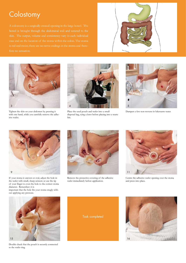## **Colostomy**

A colostomy is a surgically created opening in the large bowel. The fore no sensation.





Tighten the skin on your abdomen by pressing it with one hand, while you carefully remove the adhesive wafer.



Place the used pouch and wafer into a small disposal bag, tying a knot before placing into a waste bin.



Dampen a few non-wovens in lukewarm water.



If your stoma is uneven or oval, adjust the hole in the wafer with small, sharp scissors or use the tip of your finger to even the hole to the correct stoma diameter. Remember: it is

important that the hole fits your stoma snugly without applying any pressure.



Remove the protective covering of the adhesive wafer immediately before application.



Centre the adhesive wafer opening over the stoma and press into place.



Double check that the pouch is securely connected to the wafer ring.